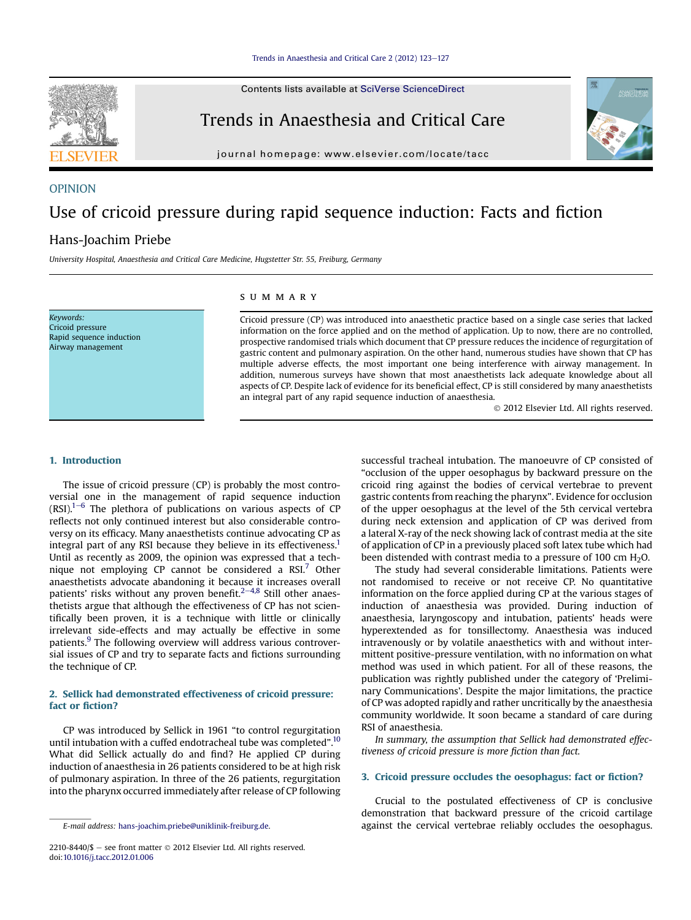Contents lists available at [SciVerse ScienceDirect](www.sciencedirect.com/science/journal/22108440)



journal homepage: [www.elsevier.com/locate/tacc](http://www.elsevier.com/locate/tacc)

# OPINION Use of cricoid pressure during rapid sequence induction: Facts and fiction Hans-Joachim Priebe

#### University Hospital, Anaesthesia and Critical Care Medicine, Hugstetter Str. 55, Freiburg, Germany

Keywords: Cricoid pressure Rapid sequence induction Airway management

### summary

Cricoid pressure (CP) was introduced into anaesthetic practice based on a single case series that lacked information on the force applied and on the method of application. Up to now, there are no controlled, prospective randomised trials which document that CP pressure reduces the incidence of regurgitation of gastric content and pulmonary aspiration. On the other hand, numerous studies have shown that CP has multiple adverse effects, the most important one being interference with airway management. In addition, numerous surveys have shown that most anaesthetists lack adequate knowledge about all aspects of CP. Despite lack of evidence for its beneficial effect, CP is still considered by many anaesthetists an integral part of any rapid sequence induction of anaesthesia.

 $©$  2012 Elsevier Ltd. All rights reserved.

#### 1. Introduction

The issue of cricoid pressure (CP) is probably the most controversial one in the management of rapid sequence induction  $(RSI).<sup>1–6</sup>$  $(RSI).<sup>1–6</sup>$  $(RSI).<sup>1–6</sup>$  The plethora of publications on various aspects of CP reflects not only continued interest but also considerable controversy on its efficacy. Many anaesthetists continue advocating CP as integral part of any RSI because they believe in its effectiveness.<sup>1</sup> Until as recently as 2009, the opinion was expressed that a technique not employing  $CP$  cannot be considered a RSI.<sup>[7](#page-3-0)</sup> Other anaesthetists advocate abandoning it because it increases overall patients' risks without any proven benefit. $2-4,8$  $2-4,8$  $2-4,8$  Still other anaesthetists argue that although the effectiveness of CP has not scientifically been proven, it is a technique with little or clinically irrelevant side-effects and may actually be effective in some patients.<sup>[9](#page-3-0)</sup> The following overview will address various controversial issues of CP and try to separate facts and fictions surrounding the technique of CP.

# 2. Sellick had demonstrated effectiveness of cricoid pressure: fact or fiction?

CP was introduced by Sellick in 1961 "to control regurgitation until intubation with a cuffed endotracheal tube was completed".<sup>[10](#page-3-0)</sup> What did Sellick actually do and find? He applied CP during induction of anaesthesia in 26 patients considered to be at high risk of pulmonary aspiration. In three of the 26 patients, regurgitation into the pharynx occurred immediately after release of CP following

successful tracheal intubation. The manoeuvre of CP consisted of "occlusion of the upper oesophagus by backward pressure on the cricoid ring against the bodies of cervical vertebrae to prevent gastric contents from reaching the pharynx". Evidence for occlusion of the upper oesophagus at the level of the 5th cervical vertebra during neck extension and application of CP was derived from a lateral X-ray of the neck showing lack of contrast media at the site of application of CP in a previously placed soft latex tube which had been distended with contrast media to a pressure of 100 cm  $H_2O$ .

The study had several considerable limitations. Patients were not randomised to receive or not receive CP. No quantitative information on the force applied during CP at the various stages of induction of anaesthesia was provided. During induction of anaesthesia, laryngoscopy and intubation, patients' heads were hyperextended as for tonsillectomy. Anaesthesia was induced intravenously or by volatile anaesthetics with and without intermittent positive-pressure ventilation, with no information on what method was used in which patient. For all of these reasons, the publication was rightly published under the category of 'Preliminary Communications'. Despite the major limitations, the practice of CP was adopted rapidly and rather uncritically by the anaesthesia community worldwide. It soon became a standard of care during RSI of anaesthesia.

In summary, the assumption that Sellick had demonstrated effectiveness of cricoid pressure is more fiction than fact.

# 3. Cricoid pressure occludes the oesophagus: fact or fiction?

Crucial to the postulated effectiveness of CP is conclusive demonstration that backward pressure of the cricoid cartilage E-mail address: [hans-joachim.priebe@uniklinik-freiburg.de.](mailto:hans-joachim.priebe@uniklinik-freiburg.de) against the cervical vertebrae reliably occludes the oesophagus.





<sup>2210-8440/\$ -</sup> see front matter  $\odot$  2012 Elsevier Ltd. All rights reserved. doi[:10.1016/j.tacc.2012.01.006](http://dx.doi.org/10.1016/j.tacc.2012.01.006)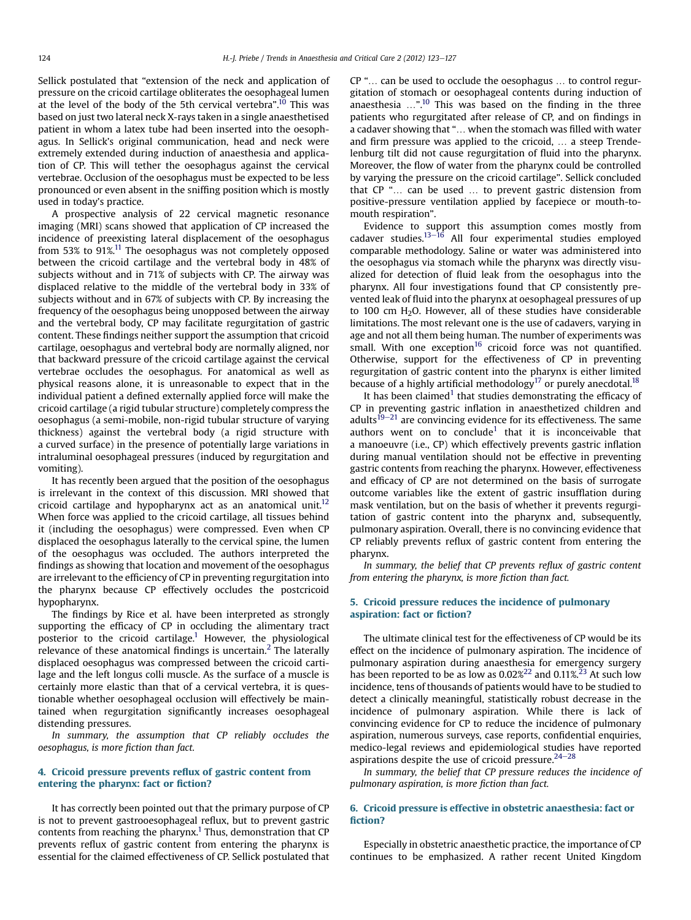Sellick postulated that "extension of the neck and application of pressure on the cricoid cartilage obliterates the oesophageal lumen at the level of the body of the 5th cervical vertebra".<sup>[10](#page-3-0)</sup> This was based on just two lateral neck X-rays taken in a single anaesthetised patient in whom a latex tube had been inserted into the oesophagus. In Sellick's original communication, head and neck were extremely extended during induction of anaesthesia and application of CP. This will tether the oesophagus against the cervical vertebrae. Occlusion of the oesophagus must be expected to be less pronounced or even absent in the sniffing position which is mostly used in today's practice.

A prospective analysis of 22 cervical magnetic resonance imaging (MRI) scans showed that application of CP increased the incidence of preexisting lateral displacement of the oesophagus from 53% to 91%[.11](#page-3-0) The oesophagus was not completely opposed between the cricoid cartilage and the vertebral body in 48% of subjects without and in 71% of subjects with CP. The airway was displaced relative to the middle of the vertebral body in 33% of subjects without and in 67% of subjects with CP. By increasing the frequency of the oesophagus being unopposed between the airway and the vertebral body, CP may facilitate regurgitation of gastric content. These findings neither support the assumption that cricoid cartilage, oesophagus and vertebral body are normally aligned, nor that backward pressure of the cricoid cartilage against the cervical vertebrae occludes the oesophagus. For anatomical as well as physical reasons alone, it is unreasonable to expect that in the individual patient a defined externally applied force will make the cricoid cartilage (a rigid tubular structure) completely compress the oesophagus (a semi-mobile, non-rigid tubular structure of varying thickness) against the vertebral body (a rigid structure with a curved surface) in the presence of potentially large variations in intraluminal oesophageal pressures (induced by regurgitation and vomiting).

It has recently been argued that the position of the oesophagus is irrelevant in the context of this discussion. MRI showed that cricoid cartilage and hypopharynx act as an anatomical unit.<sup>12</sup> When force was applied to the cricoid cartilage, all tissues behind it (including the oesophagus) were compressed. Even when CP displaced the oesophagus laterally to the cervical spine, the lumen of the oesophagus was occluded. The authors interpreted the findings as showing that location and movement of the oesophagus are irrelevant to the efficiency of CP in preventing regurgitation into the pharynx because CP effectively occludes the postcricoid hypopharynx.

The findings by Rice et al. have been interpreted as strongly supporting the efficacy of CP in occluding the alimentary tract posterior to the cricoid cartilage.<sup>[1](#page-3-0)</sup> However, the physiological relevance of these anatomical findings is uncertain.<sup>2</sup> The laterally displaced oesophagus was compressed between the cricoid cartilage and the left longus colli muscle. As the surface of a muscle is certainly more elastic than that of a cervical vertebra, it is questionable whether oesophageal occlusion will effectively be maintained when regurgitation significantly increases oesophageal distending pressures.

In summary, the assumption that CP reliably occludes the oesophagus, is more fiction than fact.

# 4. Cricoid pressure prevents reflux of gastric content from entering the pharynx: fact or fiction?

It has correctly been pointed out that the primary purpose of CP is not to prevent gastrooesophageal reflux, but to prevent gastric contents from reaching the pharynx.<sup>1</sup> Thus, demonstration that  $\text{CP}$ prevents reflux of gastric content from entering the pharynx is essential for the claimed effectiveness of CP. Sellick postulated that CP "... can be used to occlude the oesophagus ... to control regurgitation of stomach or oesophageal contents during induction of anaesthesia  $\ldots$ ".<sup>[10](#page-3-0)</sup> This was based on the finding in the three patients who regurgitated after release of CP, and on findings in a cadaver showing that "... when the stomach was filled with water and firm pressure was applied to the cricoid, ... a steep Trendelenburg tilt did not cause regurgitation of fluid into the pharynx. Moreover, the flow of water from the pharynx could be controlled by varying the pressure on the cricoid cartilage". Sellick concluded that  $CP$  " $\ldots$  can be used  $\ldots$  to prevent gastric distension from positive-pressure ventilation applied by facepiece or mouth-tomouth respiration".

Evidence to support this assumption comes mostly from cadaver studies. $13-16$  $13-16$  $13-16$  All four experimental studies employed comparable methodology. Saline or water was administered into the oesophagus via stomach while the pharynx was directly visualized for detection of fluid leak from the oesophagus into the pharynx. All four investigations found that CP consistently prevented leak of fluid into the pharynx at oesophageal pressures of up to 100 cm H2O. However, all of these studies have considerable limitations. The most relevant one is the use of cadavers, varying in age and not all them being human. The number of experiments was small. With one exception $16$  cricoid force was not quantified. Otherwise, support for the effectiveness of CP in preventing regurgitation of gastric content into the pharynx is either limited because of a highly artificial methodology<sup>[17](#page-4-0)</sup> or purely anecdotal.<sup>18</sup>

It has been claimed<sup>1</sup> that studies demonstrating the efficacy of CP in preventing gastric inflation in anaesthetized children and adults<sup>[19](#page-4-0)–[21](#page-4-0)</sup> are convincing evidence for its effectiveness. The same authors went on to conclude<sup>[1](#page-3-0)</sup> that it is inconceivable that a manoeuvre (i.e., CP) which effectively prevents gastric inflation during manual ventilation should not be effective in preventing gastric contents from reaching the pharynx. However, effectiveness and efficacy of CP are not determined on the basis of surrogate outcome variables like the extent of gastric insufflation during mask ventilation, but on the basis of whether it prevents regurgitation of gastric content into the pharynx and, subsequently, pulmonary aspiration. Overall, there is no convincing evidence that CP reliably prevents reflux of gastric content from entering the pharynx.

In summary, the belief that CP prevents reflux of gastric content from entering the pharynx, is more fiction than fact.

# 5. Cricoid pressure reduces the incidence of pulmonary aspiration: fact or fiction?

The ultimate clinical test for the effectiveness of CP would be its effect on the incidence of pulmonary aspiration. The incidence of pulmonary aspiration during anaesthesia for emergency surgery has been reported to be as low as 0.02%<sup>[22](#page-4-0)</sup> and 0.11%.<sup>[23](#page-4-0)</sup> At such low incidence, tens of thousands of patients would have to be studied to detect a clinically meaningful, statistically robust decrease in the incidence of pulmonary aspiration. While there is lack of convincing evidence for CP to reduce the incidence of pulmonary aspiration, numerous surveys, case reports, confidential enquiries, medico-legal reviews and epidemiological studies have reported aspirations despite the use of cricoid pressure. $24-28$  $24-28$  $24-28$ 

In summary, the belief that CP pressure reduces the incidence of pulmonary aspiration, is more fiction than fact.

### 6. Cricoid pressure is effective in obstetric anaesthesia: fact or fiction?

Especially in obstetric anaesthetic practice, the importance of CP continues to be emphasized. A rather recent United Kingdom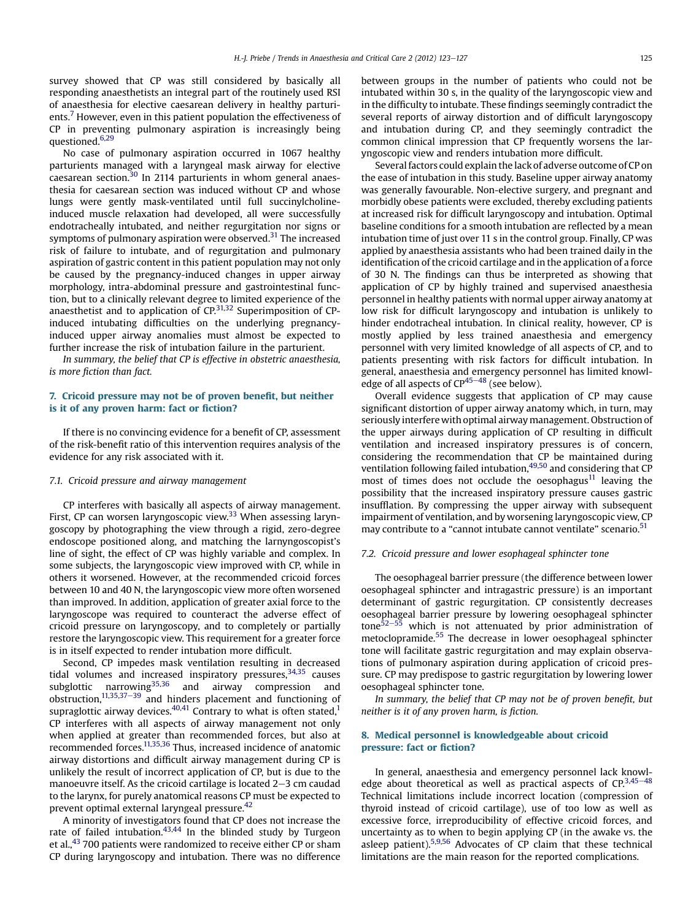survey showed that CP was still considered by basically all responding anaesthetists an integral part of the routinely used RSI of anaesthesia for elective caesarean delivery in healthy parturi-ents.<sup>[7](#page-3-0)</sup> However, even in this patient population the effectiveness of CP in preventing pulmonary aspiration is increasingly being questioned.<sup>6,29</sup>

No case of pulmonary aspiration occurred in 1067 healthy parturients managed with a laryngeal mask airway for elective  $\alpha$  caesarean section.<sup>[30](#page-4-0)</sup> In 2114 parturients in whom general anaesthesia for caesarean section was induced without CP and whose lungs were gently mask-ventilated until full succinylcholineinduced muscle relaxation had developed, all were successfully endotracheally intubated, and neither regurgitation nor signs or symptoms of pulmonary aspiration were observed. $31$  The increased risk of failure to intubate, and of regurgitation and pulmonary aspiration of gastric content in this patient population may not only be caused by the pregnancy-induced changes in upper airway morphology, intra-abdominal pressure and gastrointestinal function, but to a clinically relevant degree to limited experience of the anaesthetist and to application of  $CP$ <sup>31,32</sup> Superimposition of CPinduced intubating difficulties on the underlying pregnancyinduced upper airway anomalies must almost be expected to further increase the risk of intubation failure in the parturient.

In summary, the belief that CP is effective in obstetric anaesthesia, is more fiction than fact.

# 7. Cricoid pressure may not be of proven benefit, but neither is it of any proven harm: fact or fiction?

If there is no convincing evidence for a benefit of CP, assessment of the risk-benefit ratio of this intervention requires analysis of the evidence for any risk associated with it.

#### 7.1. Cricoid pressure and airway management

CP interferes with basically all aspects of airway management. First, CP can worsen laryngoscopic view.<sup>33</sup> When assessing laryngoscopy by photographing the view through a rigid, zero-degree endoscope positioned along, and matching the larnyngoscopist's line of sight, the effect of CP was highly variable and complex. In some subjects, the laryngoscopic view improved with CP, while in others it worsened. However, at the recommended cricoid forces between 10 and 40 N, the laryngoscopic view more often worsened than improved. In addition, application of greater axial force to the laryngoscope was required to counteract the adverse effect of cricoid pressure on laryngoscopy, and to completely or partially restore the laryngoscopic view. This requirement for a greater force is in itself expected to render intubation more difficult.

Second, CP impedes mask ventilation resulting in decreased tidal volumes and increased inspiratory pressures,  $34,35$  causes subglottic narrowing<sup>[35,36](#page-4-0)</sup> and airway compression and obstruction, $11,35,37-39$  $11,35,37-39$  $11,35,37-39$  and hinders placement and functioning of supraglottic airway devices. $40,41$  Contrary to what is often stated,<sup>1</sup> CP interferes with all aspects of airway management not only when applied at greater than recommended forces, but also at recommended forces[.11,35,36](#page-3-0) Thus, increased incidence of anatomic airway distortions and difficult airway management during CP is unlikely the result of incorrect application of CP, but is due to the manoeuvre itself. As the cricoid cartilage is located  $2-3$  cm caudad to the larynx, for purely anatomical reasons CP must be expected to prevent optimal external laryngeal pressure.[42](#page-4-0)

A minority of investigators found that CP does not increase the rate of failed intubation. $43,44$  In the blinded study by Turgeon et al.,<sup>43</sup> 700 patients were randomized to receive either CP or sham CP during laryngoscopy and intubation. There was no difference between groups in the number of patients who could not be intubated within 30 s, in the quality of the laryngoscopic view and in the difficulty to intubate. These findings seemingly contradict the several reports of airway distortion and of difficult laryngoscopy and intubation during CP, and they seemingly contradict the common clinical impression that CP frequently worsens the laryngoscopic view and renders intubation more difficult.

Several factors could explain the lack of adverse outcome of CP on the ease of intubation in this study. Baseline upper airway anatomy was generally favourable. Non-elective surgery, and pregnant and morbidly obese patients were excluded, thereby excluding patients at increased risk for difficult laryngoscopy and intubation. Optimal baseline conditions for a smooth intubation are reflected by a mean intubation time of just over 11 s in the control group. Finally, CP was applied by anaesthesia assistants who had been trained daily in the identification of the cricoid cartilage and in the application of a force of 30 N. The findings can thus be interpreted as showing that application of CP by highly trained and supervised anaesthesia personnel in healthy patients with normal upper airway anatomy at low risk for difficult laryngoscopy and intubation is unlikely to hinder endotracheal intubation. In clinical reality, however, CP is mostly applied by less trained anaesthesia and emergency personnel with very limited knowledge of all aspects of CP, and to patients presenting with risk factors for difficult intubation. In general, anaesthesia and emergency personnel has limited knowledge of all aspects of  $CP^{45-48}$  $CP^{45-48}$  $CP^{45-48}$  $CP^{45-48}$  $CP^{45-48}$  (see below).

Overall evidence suggests that application of CP may cause significant distortion of upper airway anatomy which, in turn, may seriously interfere with optimal airway management. Obstruction of the upper airways during application of CP resulting in difficult ventilation and increased inspiratory pressures is of concern, considering the recommendation that CP be maintained during ventilation following failed intubation,<sup>49,50</sup> and considering that CP most of times does not occlude the oesophagus $11$  leaving the possibility that the increased inspiratory pressure causes gastric insufflation. By compressing the upper airway with subsequent impairment of ventilation, and by worsening laryngoscopic view, CP may contribute to a "cannot intubate cannot ventilate" scenario.<sup>[51](#page-4-0)</sup>

#### 7.2. Cricoid pressure and lower esophageal sphincter tone

The oesophageal barrier pressure (the difference between lower oesophageal sphincter and intragastric pressure) is an important determinant of gastric regurgitation. CP consistently decreases oesophageal barrier pressure by lowering oesophageal sphincter tone $\frac{52-55}{5}$  $\frac{52-55}{5}$  $\frac{52-55}{5}$  $\frac{52-55}{5}$  $\frac{52-55}{5}$  which is not attenuated by prior administration of metoclopramide.[55](#page-4-0) The decrease in lower oesophageal sphincter tone will facilitate gastric regurgitation and may explain observations of pulmonary aspiration during application of cricoid pressure. CP may predispose to gastric regurgitation by lowering lower oesophageal sphincter tone.

In summary, the belief that CP may not be of proven benefit, but neither is it of any proven harm, is fiction.

# 8. Medical personnel is knowledgeable about cricoid pressure: fact or fiction?

In general, anaesthesia and emergency personnel lack knowledge about theoretical as well as practical aspects of  $CP^{3,45-48}$  $CP^{3,45-48}$  $CP^{3,45-48}$  $CP^{3,45-48}$  $CP^{3,45-48}$ Technical limitations include incorrect location (compression of thyroid instead of cricoid cartilage), use of too low as well as excessive force, irreproducibility of effective cricoid forces, and uncertainty as to when to begin applying CP (in the awake vs. the asleep patient).[5,9,56](#page-3-0) Advocates of CP claim that these technical limitations are the main reason for the reported complications.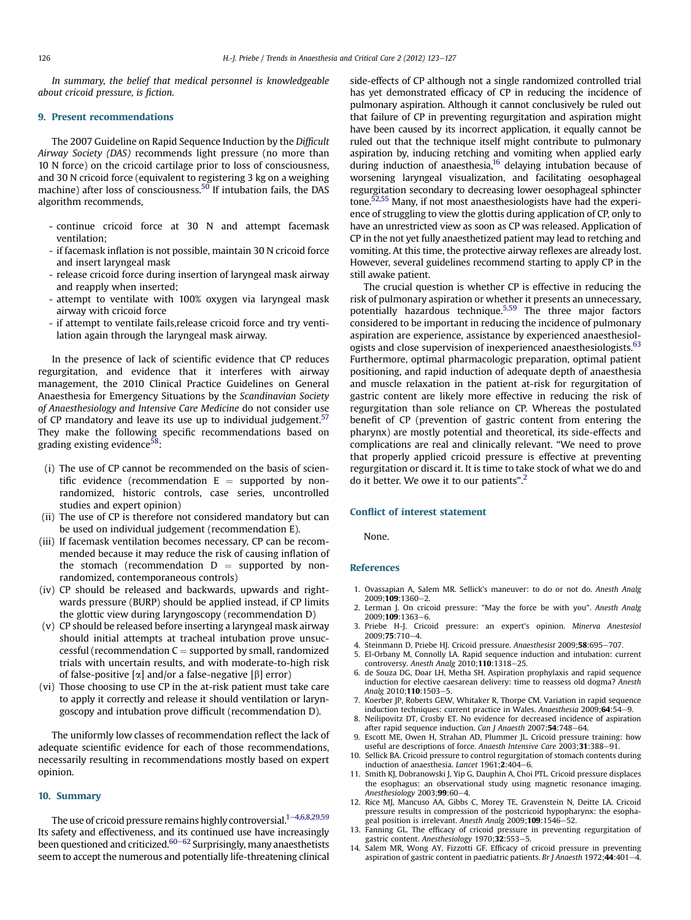<span id="page-3-0"></span>In summary, the belief that medical personnel is knowledgeable about cricoid pressure, is fiction.

#### 9. Present recommendations

The 2007 Guideline on Rapid Sequence Induction by the Difficult Airway Society (DAS) recommends light pressure (no more than 10 N force) on the cricoid cartilage prior to loss of consciousness, and 30 N cricoid force (equivalent to registering 3 kg on a weighing machine) after loss of consciousness.<sup>50</sup> If intubation fails, the DAS algorithm recommends,

- continue cricoid force at 30 N and attempt facemask ventilation;
- if facemask inflation is not possible, maintain 30 N cricoid force and insert laryngeal mask
- release cricoid force during insertion of laryngeal mask airway and reapply when inserted;
- attempt to ventilate with 100% oxygen via laryngeal mask airway with cricoid force
- if attempt to ventilate fails,release cricoid force and try ventilation again through the laryngeal mask airway.

In the presence of lack of scientific evidence that CP reduces regurgitation, and evidence that it interferes with airway management, the 2010 Clinical Practice Guidelines on General Anaesthesia for Emergency Situations by the Scandinavian Society of Anaesthesiology and Intensive Care Medicine do not consider use of CP mandatory and leave its use up to individual judgement.<sup>[57](#page-4-0)</sup> They make the following specific recommendations based on grading existing evidence $58$ :

- (i) The use of CP cannot be recommended on the basis of scientific evidence (recommendation  $E =$  supported by nonrandomized, historic controls, case series, uncontrolled studies and expert opinion)
- (ii) The use of CP is therefore not considered mandatory but can be used on individual judgement (recommendation E).
- (iii) If facemask ventilation becomes necessary, CP can be recommended because it may reduce the risk of causing inflation of the stomach (recommendation  $D =$  supported by nonrandomized, contemporaneous controls)
- (iv) CP should be released and backwards, upwards and rightwards pressure (BURP) should be applied instead, if CP limits the glottic view during laryngoscopy (recommendation D)
- (v) CP should be released before inserting a laryngeal mask airway should initial attempts at tracheal intubation prove unsuccessful (recommendation  $C =$  supported by small, randomized trials with uncertain results, and with moderate-to-high risk of false-positive  $\alpha$  and/or a false-negative  $\beta$  error)
- (vi) Those choosing to use CP in the at-risk patient must take care to apply it correctly and release it should ventilation or laryngoscopy and intubation prove difficult (recommendation D).

The uniformly low classes of recommendation reflect the lack of adequate scientific evidence for each of those recommendations, necessarily resulting in recommendations mostly based on expert opinion.

#### 10. Summary

The use of cricoid pressure remains highly controversial.<sup>1-4,6,8,29,59</sup> Its safety and effectiveness, and its continued use have increasingly been questioned and criticized.<sup>[60](#page-4-0)–[62](#page-4-0)</sup> Surprisingly, many anaesthetists seem to accept the numerous and potentially life-threatening clinical side-effects of CP although not a single randomized controlled trial has yet demonstrated efficacy of CP in reducing the incidence of pulmonary aspiration. Although it cannot conclusively be ruled out that failure of CP in preventing regurgitation and aspiration might have been caused by its incorrect application, it equally cannot be ruled out that the technique itself might contribute to pulmonary aspiration by, inducing retching and vomiting when applied early during induction of anaesthesia,<sup>16</sup> delaying intubation because of worsening laryngeal visualization, and facilitating oesophageal regurgitation secondary to decreasing lower oesophageal sphincter tone.<sup>52,55</sup> Many, if not most anaesthesiologists have had the experience of struggling to view the glottis during application of CP, only to have an unrestricted view as soon as CP was released. Application of CP in the not yet fully anaesthetized patient may lead to retching and vomiting. At this time, the protective airway reflexes are already lost. However, several guidelines recommend starting to apply CP in the still awake patient.

The crucial question is whether CP is effective in reducing the risk of pulmonary aspiration or whether it presents an unnecessary, potentially hazardous technique.5,59 The three major factors considered to be important in reducing the incidence of pulmonary aspiration are experience, assistance by experienced anaesthesiologists and close supervision of inexperienced anaesthesiologists. $63$ Furthermore, optimal pharmacologic preparation, optimal patient positioning, and rapid induction of adequate depth of anaesthesia and muscle relaxation in the patient at-risk for regurgitation of gastric content are likely more effective in reducing the risk of regurgitation than sole reliance on CP. Whereas the postulated benefit of CP (prevention of gastric content from entering the pharynx) are mostly potential and theoretical, its side-effects and complications are real and clinically relevant. "We need to prove that properly applied cricoid pressure is effective at preventing regurgitation or discard it. It is time to take stock of what we do and do it better. We owe it to our patients".<sup>2</sup>

#### Conflict of interest statement

None.

# References

- 1. Ovassapian A, Salem MR. Sellick's maneuver: to do or not do. Anesth Analg  $2009:109:1360 - 2$
- Lerman J. On cricoid pressure: "May the force be with you". Anesth Analg  $2009:109:1363-6$
- 3. Priebe H-J. Cricoid pressure: an expert's opinion. Minerva Anestesiol 2009:75:710-4.
	- Steinmann D, Priebe HJ. Cricoid pressure. Anaesthesist 2009;58:695-707.
- 5. El-Orbany M, Connolly LA. Rapid sequence induction and intubation: current controversy. Anesth Analg  $2010;110:1318-25$ .
- 6. de Souza DG, Doar LH, Metha SH. Aspiration prophylaxis and rapid sequence induction for elective caesarean delivery: time to reassess old dogma? Anesth Analg 2010:110:1503-5
- 7. Koerber JP, Roberts GEW, Whitaker R, Thorpe CM. Variation in rapid sequence induction techniques: current practice in Wales. Anaesthesia 2009;64:54-9.
- 8. Neilipovitz DT, Crosby ET. No evidence for decreased incidence of aspiration after rapid sequence induction. Can J Anaesth 2007;54:748-64.
- 9. Escott ME, Owen H, Strahan AD, Plummer JL. Cricoid pressure training: how useful are descriptions of force. Anaesth Intensive Care 2003;31:388-91.
- 10. Sellick BA. Cricoid pressure to control regurgitation of stomach contents during induction of anaesthesia. Lancet  $1961;2:404-6$ .
- 11. Smith KJ, Dobranowski J, Yip G, Dauphin A, Choi PTL. Cricoid pressure displaces the esophagus: an observational study using magnetic resonance imaging. Anesthesiology 2003;99:60-4
- 12. Rice MJ, Mancuso AA, Gibbs C, Morey TE, Gravenstein N, Deitte LA. Cricoid pressure results in compression of the postcricoid hypopharynx: the esophageal position is irrelevant. Anesth Analg 2009;109:1546-52.
- 13. Fanning GL. The efficacy of cricoid pressure in preventing regurgitation of gastric content. Anesthesiology 1970;32:553-5.
- 14. Salem MR, Wong AY, Fizzotti GF. Efficacy of cricoid pressure in preventing aspiration of gastric content in paediatric patients. Br J Anaesth 1972;44:401-4.